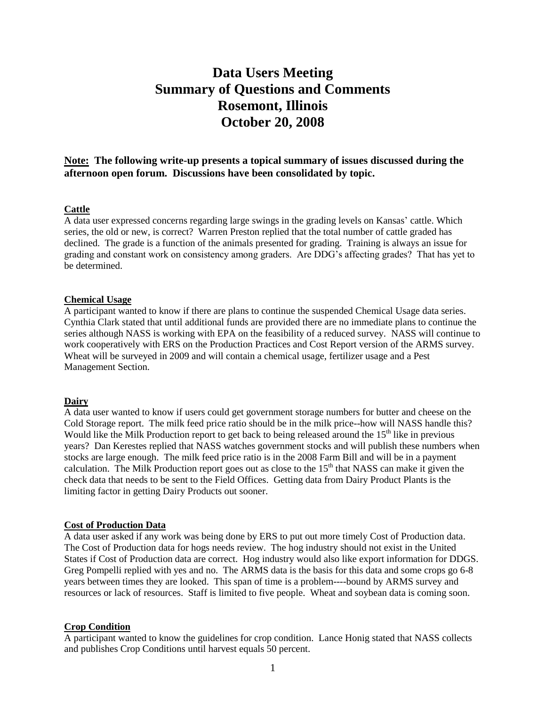# **Data Users Meeting Summary of Questions and Comments Rosemont, Illinois October 20, 2008**

**Note: The following write-up presents a topical summary of issues discussed during the afternoon open forum. Discussions have been consolidated by topic.**

### **Cattle**

A data user expressed concerns regarding large swings in the grading levels on Kansas' cattle. Which series, the old or new, is correct? Warren Preston replied that the total number of cattle graded has declined. The grade is a function of the animals presented for grading. Training is always an issue for grading and constant work on consistency among graders. Are DDG's affecting grades? That has yet to be determined.

#### **Chemical Usage**

A participant wanted to know if there are plans to continue the suspended Chemical Usage data series. Cynthia Clark stated that until additional funds are provided there are no immediate plans to continue the series although NASS is working with EPA on the feasibility of a reduced survey. NASS will continue to work cooperatively with ERS on the Production Practices and Cost Report version of the ARMS survey. Wheat will be surveyed in 2009 and will contain a chemical usage, fertilizer usage and a Pest Management Section.

#### **Dairy**

A data user wanted to know if users could get government storage numbers for butter and cheese on the Cold Storage report. The milk feed price ratio should be in the milk price--how will NASS handle this? Would like the Milk Production report to get back to being released around the  $15<sup>th</sup>$  like in previous years? Dan Kerestes replied that NASS watches government stocks and will publish these numbers when stocks are large enough. The milk feed price ratio is in the 2008 Farm Bill and will be in a payment calculation. The Milk Production report goes out as close to the  $15<sup>th</sup>$  that NASS can make it given the check data that needs to be sent to the Field Offices. Getting data from Dairy Product Plants is the limiting factor in getting Dairy Products out sooner.

#### **Cost of Production Data**

A data user asked if any work was being done by ERS to put out more timely Cost of Production data. The Cost of Production data for hogs needs review. The hog industry should not exist in the United States if Cost of Production data are correct. Hog industry would also like export information for DDGS. Greg Pompelli replied with yes and no. The ARMS data is the basis for this data and some crops go 6-8 years between times they are looked. This span of time is a problem----bound by ARMS survey and resources or lack of resources. Staff is limited to five people. Wheat and soybean data is coming soon.

## **Crop Condition**

A participant wanted to know the guidelines for crop condition. Lance Honig stated that NASS collects and publishes Crop Conditions until harvest equals 50 percent.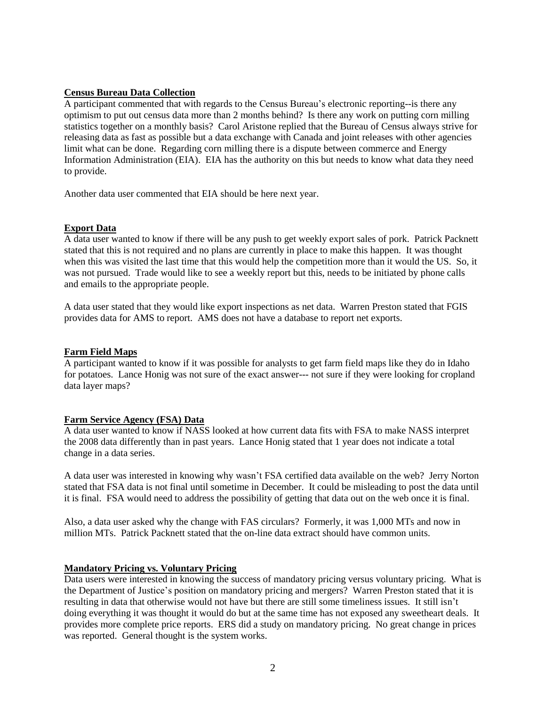# **Census Bureau Data Collection**

A participant commented that with regards to the Census Bureau's electronic reporting--is there any optimism to put out census data more than 2 months behind? Is there any work on putting corn milling statistics together on a monthly basis? Carol Aristone replied that the Bureau of Census always strive for releasing data as fast as possible but a data exchange with Canada and joint releases with other agencies limit what can be done. Regarding corn milling there is a dispute between commerce and Energy Information Administration (EIA). EIA has the authority on this but needs to know what data they need to provide.

Another data user commented that EIA should be here next year.

## **Export Data**

A data user wanted to know if there will be any push to get weekly export sales of pork. Patrick Packnett stated that this is not required and no plans are currently in place to make this happen. It was thought when this was visited the last time that this would help the competition more than it would the US. So, it was not pursued. Trade would like to see a weekly report but this, needs to be initiated by phone calls and emails to the appropriate people.

A data user stated that they would like export inspections as net data. Warren Preston stated that FGIS provides data for AMS to report. AMS does not have a database to report net exports.

#### **Farm Field Maps**

A participant wanted to know if it was possible for analysts to get farm field maps like they do in Idaho for potatoes. Lance Honig was not sure of the exact answer--- not sure if they were looking for cropland data layer maps?

#### **Farm Service Agency (FSA) Data**

A data user wanted to know if NASS looked at how current data fits with FSA to make NASS interpret the 2008 data differently than in past years. Lance Honig stated that 1 year does not indicate a total change in a data series.

A data user was interested in knowing why wasn't FSA certified data available on the web? Jerry Norton stated that FSA data is not final until sometime in December. It could be misleading to post the data until it is final. FSA would need to address the possibility of getting that data out on the web once it is final.

Also, a data user asked why the change with FAS circulars? Formerly, it was 1,000 MTs and now in million MTs. Patrick Packnett stated that the on-line data extract should have common units.

## **Mandatory Pricing vs. Voluntary Pricing**

Data users were interested in knowing the success of mandatory pricing versus voluntary pricing. What is the Department of Justice's position on mandatory pricing and mergers? Warren Preston stated that it is resulting in data that otherwise would not have but there are still some timeliness issues. It still isn't doing everything it was thought it would do but at the same time has not exposed any sweetheart deals. It provides more complete price reports. ERS did a study on mandatory pricing. No great change in prices was reported. General thought is the system works.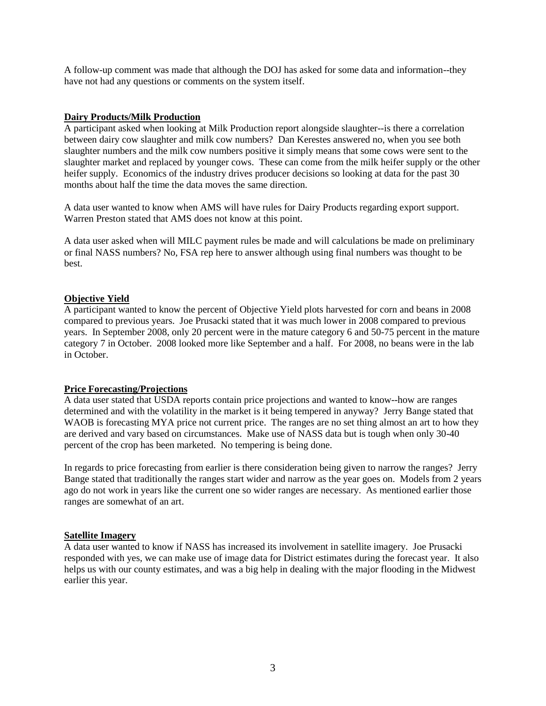A follow-up comment was made that although the DOJ has asked for some data and information--they have not had any questions or comments on the system itself.

# **Dairy Products/Milk Production**

A participant asked when looking at Milk Production report alongside slaughter--is there a correlation between dairy cow slaughter and milk cow numbers? Dan Kerestes answered no, when you see both slaughter numbers and the milk cow numbers positive it simply means that some cows were sent to the slaughter market and replaced by younger cows. These can come from the milk heifer supply or the other heifer supply. Economics of the industry drives producer decisions so looking at data for the past 30 months about half the time the data moves the same direction.

A data user wanted to know when AMS will have rules for Dairy Products regarding export support. Warren Preston stated that AMS does not know at this point.

A data user asked when will MILC payment rules be made and will calculations be made on preliminary or final NASS numbers? No, FSA rep here to answer although using final numbers was thought to be best.

## **Objective Yield**

A participant wanted to know the percent of Objective Yield plots harvested for corn and beans in 2008 compared to previous years. Joe Prusacki stated that it was much lower in 2008 compared to previous years. In September 2008, only 20 percent were in the mature category 6 and 50-75 percent in the mature category 7 in October. 2008 looked more like September and a half. For 2008, no beans were in the lab in October.

# **Price Forecasting/Projections**

A data user stated that USDA reports contain price projections and wanted to know--how are ranges determined and with the volatility in the market is it being tempered in anyway? Jerry Bange stated that WAOB is forecasting MYA price not current price. The ranges are no set thing almost an art to how they are derived and vary based on circumstances. Make use of NASS data but is tough when only 30-40 percent of the crop has been marketed. No tempering is being done.

In regards to price forecasting from earlier is there consideration being given to narrow the ranges? Jerry Bange stated that traditionally the ranges start wider and narrow as the year goes on. Models from 2 years ago do not work in years like the current one so wider ranges are necessary. As mentioned earlier those ranges are somewhat of an art.

## **Satellite Imagery**

A data user wanted to know if NASS has increased its involvement in satellite imagery. Joe Prusacki responded with yes, we can make use of image data for District estimates during the forecast year. It also helps us with our county estimates, and was a big help in dealing with the major flooding in the Midwest earlier this year.